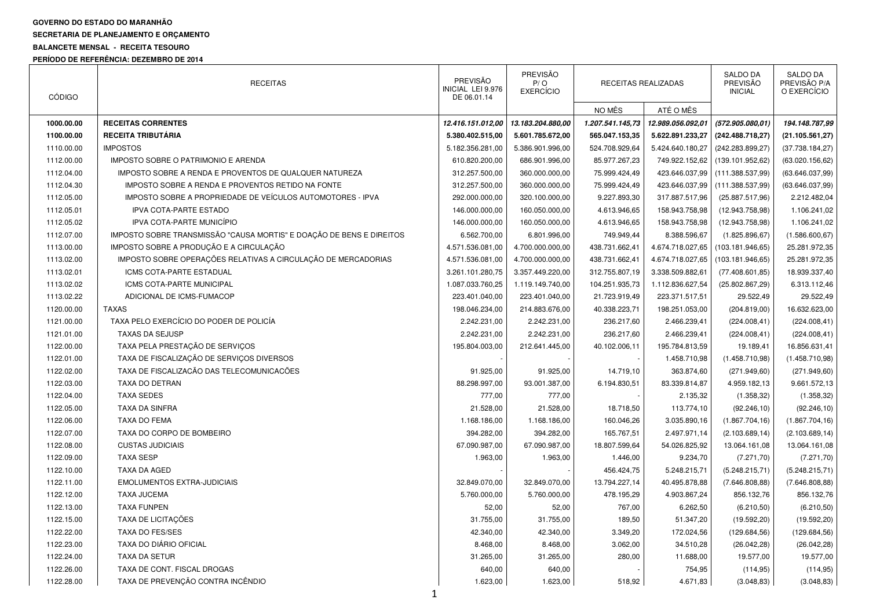## **GOVERNO DO ESTADO DO MARANHÃO SECRETARIA DE PLANEJAMENTO E ORÇAMENTO**

## **BALANCETE MENSAL - RECEITA TESOURO**

**PERÍODO DE REFERÊNCIA: DEZEMBRO DE 2014** 

| <b>CÓDIGO</b> | <b>RECEITAS</b>                                                      | PREVISÃO<br>INICIAL LEI 9.976<br>DE 06.01.14 | PREVISÃO<br>P/O<br><b>EXERCÍCIO</b> | RECEITAS REALIZADAS |                   | SALDO DA<br>PREVISÃO<br><b>INICIAL</b> | SALDO DA<br>PREVISÃO P/A<br>O EXERCÍCIO |
|---------------|----------------------------------------------------------------------|----------------------------------------------|-------------------------------------|---------------------|-------------------|----------------------------------------|-----------------------------------------|
|               |                                                                      |                                              |                                     | NO MÊS              | ATÉ O MÊS         |                                        |                                         |
| 1000.00.00    | <b>RECEITAS CORRENTES</b>                                            | 12.416.151.012,00                            | 13.183.204.880,00                   | 1.207.541.145,73    | 12.989.056.092,01 | (572.905.080,01)                       | 194.148.787,99                          |
| 1100.00.00    | <b>RECEITA TRIBUTÁRIA</b>                                            | 5.380.402.515,00                             | 5.601.785.672,00                    | 565.047.153,35      | 5.622.891.233,27  | (242.488.718,27)                       | (21.105.561, 27)                        |
| 1110.00.00    | <b>IMPOSTOS</b>                                                      | 5.182.356.281,00                             | 5.386.901.996,00                    | 524.708.929,64      | 5.424.640.180,27  | (242.283.899,27)                       | (37.738.184, 27)                        |
| 1112.00.00    | IMPOSTO SOBRE O PATRIMONIO E ARENDA                                  | 610.820.200,00                               | 686.901.996,00                      | 85.977.267,23       | 749.922.152,62    | (139.101.952.62)                       | (63.020.156, 62)                        |
| 1112.04.00    | IMPOSTO SOBRE A RENDA E PROVENTOS DE QUALQUER NATUREZA               | 312.257.500,00                               | 360.000.000,00                      | 75.999.424,49       | 423.646.037,99    | (111.388.537,99)                       | (63.646.037,99)                         |
| 1112.04.30    | IMPOSTO SOBRE A RENDA E PROVENTOS RETIDO NA FONTE                    | 312.257.500,00                               | 360.000.000,00                      | 75.999.424,49       | 423.646.037,99    | (111.388.537,99)                       | (63.646.037,99)                         |
| 1112.05.00    | IMPOSTO SOBRE A PROPRIEDADE DE VEÍCULOS AUTOMOTORES - IPVA           | 292.000.000,00                               | 320.100.000,00                      | 9.227.893,30        | 317.887.517,96    | (25.887.517,96)                        | 2.212.482,04                            |
| 1112.05.01    | <b>IPVA COTA-PARTE ESTADO</b>                                        | 146.000.000,00                               | 160.050.000,00                      | 4.613.946,65        | 158.943.758,98    | (12.943.758,98)                        | 1.106.241,02                            |
| 1112.05.02    | <b>IPVA COTA-PARTE MUNICÍPIO</b>                                     | 146.000.000,00                               | 160.050.000,00                      | 4.613.946,65        | 158.943.758,98    | (12.943.758,98)                        | 1.106.241,02                            |
| 1112.07.00    | IMPOSTO SOBRE TRANSMISSÃO "CAUSA MORTIS" E DOAÇÃO DE BENS E DIREITOS | 6.562.700,00                                 | 6.801.996,00                        | 749.949,44          | 8.388.596,67      | (1.825.896, 67)                        | (1.586.600, 67)                         |
| 1113.00.00    | IMPOSTO SOBRE A PRODUÇÃO E A CIRCULAÇÃO                              | 4.571.536.081,00                             | 4.700.000.000,00                    | 438.731.662,41      | 4.674.718.027,65  | (103.181.946,65)                       | 25.281.972,35                           |
| 1113.02.00    | IMPOSTO SOBRE OPERAÇÕES RELATIVAS A CIRCULAÇÃO DE MERCADORIAS        | 4.571.536.081,00                             | 4.700.000.000,00                    | 438.731.662,41      | 4.674.718.027,65  | (103.181.946, 65)                      | 25.281.972,35                           |
| 1113.02.01    | ICMS COTA-PARTE ESTADUAL                                             | 3.261.101.280,75                             | 3.357.449.220,00                    | 312.755.807,19      | 3.338.509.882,61  | (77.408.601, 85)                       | 18.939.337,40                           |
| 1113.02.02    | ICMS COTA-PARTE MUNICIPAL                                            | 1.087.033.760,25                             | 1.119.149.740,00                    | 104.251.935,73      | 1.112.836.627,54  | (25.802.867, 29)                       | 6.313.112,46                            |
| 1113.02.22    | ADICIONAL DE ICMS-FUMACOP                                            | 223.401.040,00                               | 223.401.040,00                      | 21.723.919,49       | 223.371.517,51    | 29.522,49                              | 29.522,49                               |
| 1120.00.00    | <b>TAXAS</b>                                                         | 198.046.234,00                               | 214.883.676,00                      | 40.338.223,71       | 198.251.053,00    | (204.819,00)                           | 16.632.623,00                           |
| 1121.00.00    | TAXA PELO EXERCÍCIO DO PODER DE POLICÍA                              | 2.242.231,00                                 | 2.242.231,00                        | 236.217,60          | 2.466.239,41      | (224.008, 41)                          | (224.008, 41)                           |
| 1121.01.00    | <b>TAXAS DA SEJUSP</b>                                               | 2.242.231,00                                 | 2.242.231,00                        | 236.217,60          | 2.466.239,41      | (224.008, 41)                          | (224.008, 41)                           |
| 1122.00.00    | TAXA PELA PRESTAÇÃO DE SERVIÇOS                                      | 195.804.003,00                               | 212.641.445,00                      | 40.102.006,11       | 195.784.813,59    | 19.189,41                              | 16.856.631,41                           |
| 1122.01.00    | TAXA DE FISCALIZAÇÃO DE SERVICOS DIVERSOS                            |                                              |                                     |                     | 1.458.710,98      | (1.458.710,98)                         | (1.458.710,98)                          |
| 1122.02.00    | TAXA DE FISCALIZAÇÃO DAS TELECOMUNICAÇÕES                            | 91.925,00                                    | 91.925,00                           | 14.719,10           | 363.874,60        | (271.949, 60)                          | (271.949, 60)                           |
| 1122.03.00    | TAXA DO DETRAN                                                       | 88.298.997,00                                | 93.001.387,00                       | 6.194.830,51        | 83.339.814,87     | 4.959.182,13                           | 9.661.572,13                            |
| 1122.04.00    | <b>TAXA SEDES</b>                                                    | 777,00                                       | 777,00                              |                     | 2.135,32          | (1.358, 32)                            | (1.358, 32)                             |
| 1122.05.00    | <b>TAXA DA SINFRA</b>                                                | 21.528,00                                    | 21.528,00                           | 18.718,50           | 113.774,10        | (92.246, 10)                           | (92.246, 10)                            |
| 1122.06.00    | <b>TAXA DO FEMA</b>                                                  | 1.168.186,00                                 | 1.168.186,00                        | 160.046,26          | 3.035.890,16      | (1.867.704, 16)                        | (1.867.704, 16)                         |
| 1122.07.00    | TAXA DO CORPO DE BOMBEIRO                                            | 394.282,00                                   | 394.282,00                          | 165.767,51          | 2.497.971,14      | (2.103.689, 14)                        | (2.103.689, 14)                         |
| 1122.08.00    | <b>CUSTAS JUDICIAIS</b>                                              | 67.090.987,00                                | 67.090.987,00                       | 18.807.599,64       | 54.026.825,92     | 13.064.161,08                          | 13.064.161,08                           |
| 1122.09.00    | <b>TAXA SESP</b>                                                     | 1.963,00                                     | 1.963,00                            | 1.446,00            | 9.234,70          | (7.271, 70)                            | (7.271, 70)                             |
| 1122.10.00    | <b>TAXA DA AGED</b>                                                  |                                              |                                     | 456.424,75          | 5.248.215,71      | (5.248.215,71)                         | (5.248.215, 71)                         |
| 1122.11.00    | <b>EMOLUMENTOS EXTRA-JUDICIAIS</b>                                   | 32.849.070,00                                | 32.849.070,00                       | 13.794.227,14       | 40.495.878,88     | (7.646.808, 88)                        | (7.646.808, 88)                         |
| 1122.12.00    | <b>TAXA JUCEMA</b>                                                   | 5.760.000,00                                 | 5.760.000,00                        | 478.195,29          | 4.903.867,24      | 856.132,76                             | 856.132,76                              |
| 1122.13.00    | <b>TAXA FUNPEN</b>                                                   | 52,00                                        | 52,00                               | 767,00              | 6.262,50          | (6.210, 50)                            | (6.210, 50)                             |
| 1122.15.00    | TAXA DE LICITAÇÕES                                                   | 31.755,00                                    | 31.755,00                           | 189,50              | 51.347,20         | (19.592, 20)                           | (19.592, 20)                            |
| 1122.22.00    | <b>TAXA DO FES/SES</b>                                               | 42.340,00                                    | 42.340,00                           | 3.349,20            | 172.024,56        | (129.684, 56)                          | (129.684, 56)                           |
| 1122.23.00    | TAXA DO DIÁRIO OFICIAL                                               | 8.468,00                                     | 8.468,00                            | 3.062,00            | 34.510,28         | (26.042, 28)                           | (26.042, 28)                            |
| 1122.24.00    | TAXA DA SETUR                                                        | 31.265,00                                    | 31.265,00                           | 280,00              | 11.688,00         | 19.577,00                              | 19.577,00                               |
| 1122.26.00    | TAXA DE CONT. FISCAL DROGAS                                          | 640,00                                       | 640,00                              |                     | 754,95            | (114, 95)                              | (114, 95)                               |
| 1122.28.00    | TAXA DE PREVENÇÃO CONTRA INCÊNDIO                                    | 1.623,00                                     | 1.623,00                            | 518,92              | 4.671,83          | (3.048, 83)                            | (3.048, 83)                             |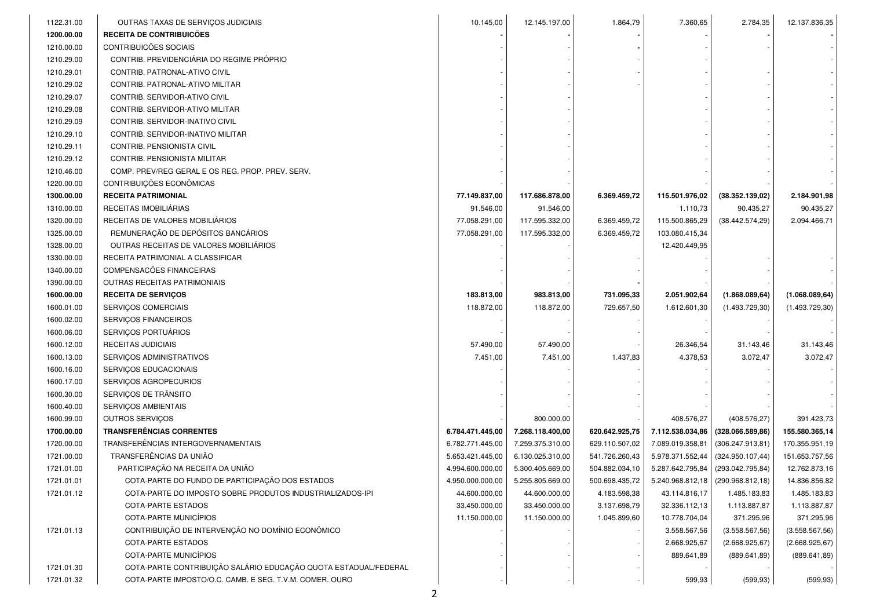| 1122.31.00 | OUTRAS TAXAS DE SERVIÇOS JUDICIAIS                              | 10.145,00        | 12.145.197,00    | 1.864,79       | 7.360,65                          | 2.784,35          | 12.137.836,35   |
|------------|-----------------------------------------------------------------|------------------|------------------|----------------|-----------------------------------|-------------------|-----------------|
| 1200.00.00 | RECEITA DE CONTRIBUICÕES                                        |                  |                  |                |                                   |                   |                 |
| 1210.00.00 | CONTRIBUICÕES SOCIAIS                                           |                  |                  |                |                                   |                   |                 |
| 1210.29.00 | CONTRIB. PREVIDENCIÁRIA DO REGIME PRÓPRIO                       |                  |                  |                |                                   |                   |                 |
| 1210.29.01 | CONTRIB. PATRONAL-ATIVO CIVIL                                   |                  |                  |                |                                   |                   |                 |
| 1210.29.02 | CONTRIB. PATRONAL-ATIVO MILITAR                                 |                  |                  |                |                                   |                   |                 |
| 1210.29.07 | CONTRIB. SERVIDOR-ATIVO CIVIL                                   |                  |                  |                |                                   |                   |                 |
| 1210.29.08 | CONTRIB. SERVIDOR-ATIVO MILITAR                                 |                  |                  |                |                                   |                   |                 |
| 1210.29.09 | CONTRIB. SERVIDOR-INATIVO CIVIL                                 |                  |                  |                |                                   |                   |                 |
| 1210.29.10 | CONTRIB. SERVIDOR-INATIVO MILITAR                               |                  |                  |                |                                   |                   |                 |
| 1210.29.11 | CONTRIB. PENSIONISTA CIVIL                                      |                  |                  |                |                                   |                   |                 |
| 1210.29.12 | CONTRIB. PENSIONISTA MILITAR                                    |                  |                  |                |                                   |                   |                 |
| 1210.46.00 | COMP. PREV/REG GERAL E OS REG. PROP. PREV. SERV.                |                  |                  |                |                                   |                   |                 |
| 1220.00.00 | CONTRIBUIÇÕES ECONÔMICAS                                        |                  |                  |                |                                   |                   |                 |
| 1300.00.00 | <b>RECEITA PATRIMONIAL</b>                                      | 77.149.837,00    | 117.686.878,00   | 6.369.459,72   | 115.501.976,02                    | (38.352.139,02)   | 2.184.901,98    |
| 1310.00.00 | RECEITAS IMOBILIÁRIAS                                           | 91.546,00        | 91.546,00        |                | 1.110,73                          | 90.435,27         | 90.435,27       |
| 1320.00.00 | RECEITAS DE VALORES MOBILIÁRIOS                                 | 77.058.291,00    | 117.595.332,00   | 6.369.459,72   | 115.500.865,29                    | (38.442.574, 29)  | 2.094.466,71    |
| 1325.00.00 | REMUNERAÇÃO DE DEPÓSITOS BANCÁRIOS                              | 77.058.291,00    | 117.595.332,00   | 6.369.459,72   | 103.080.415,34                    |                   |                 |
| 1328.00.00 | OUTRAS RECEITAS DE VALORES MOBILIÁRIOS                          |                  |                  |                | 12.420.449,95                     |                   |                 |
| 1330.00.00 | RECEITA PATRIMONIAL A CLASSIFICAR                               |                  |                  |                |                                   |                   |                 |
| 1340.00.00 | COMPENSACÕES FINANCEIRAS                                        |                  |                  |                |                                   |                   |                 |
| 1390.00.00 | OUTRAS RECEITAS PATRIMONIAIS                                    |                  |                  |                |                                   |                   |                 |
| 1600.00.00 | <b>RECEITA DE SERVIÇOS</b>                                      | 183.813,00       | 983.813,00       | 731.095,33     | 2.051.902,64                      | (1.868.089, 64)   | (1.068.089, 64) |
| 1600.01.00 | SERVICOS COMERCIAIS                                             | 118.872,00       | 118.872,00       | 729.657,50     | 1.612.601,30                      | (1.493.729,30)    | (1.493.729, 30) |
| 1600.02.00 | SERVIÇOS FINANCEIROS                                            |                  |                  |                |                                   |                   |                 |
| 1600.06.00 | SERVIÇOS PORTUÁRIOS                                             |                  |                  |                |                                   |                   |                 |
| 1600.12.00 | RECEITAS JUDICIAIS                                              | 57.490,00        | 57.490,00        |                | 26.346,54                         | 31.143,46         | 31.143,46       |
| 1600.13.00 | SERVIÇOS ADMINISTRATIVOS                                        | 7.451,00         | 7.451,00         | 1.437,83       | 4.378,53                          | 3.072,47          | 3.072,47        |
| 1600.16.00 | SERVIÇOS EDUCACIONAIS                                           |                  |                  |                |                                   |                   |                 |
| 1600.17.00 | SERVIÇOS AGROPECURIOS                                           |                  |                  |                |                                   |                   |                 |
| 1600.30.00 | SERVIÇOS DE TRÂNSITO                                            |                  |                  |                |                                   |                   |                 |
| 1600.40.00 | SERVIÇOS AMBIENTAIS                                             |                  |                  |                |                                   |                   |                 |
| 1600.99.00 | OUTROS SERVIÇOS                                                 |                  | 800.000,00       |                | 408.576,27                        | (408.576, 27)     | 391.423,73      |
| 1700.00.00 | <b>TRANSFERÊNCIAS CORRENTES</b>                                 | 6.784.471.445,00 | 7.268.118.400,00 | 620.642.925,75 | 7.112.538.034,86                  | (328.066.589, 86) | 155.580.365,14  |
| 1720.00.00 | TRANSFERÊNCIAS INTERGOVERNAMENTAIS                              | 6.782.771.445,00 | 7.259.375.310,00 | 629.110.507,02 | 7.089.019.358,81                  | (306.247.913,81)  | 170.355.951,19  |
| 1721.00.00 | TRANSFERÊNCIAS DA UNIÃO                                         | 5.653.421.445,00 | 6.130.025.310,00 | 541.726.260,43 | 5.978.371.552,44                  | (324.950.107, 44) | 151.653.757,56  |
| 1721.01.00 | PARTICIPAÇÃO NA RECEITA DA UNIÃO                                | 4.994.600.000,00 | 5.300.405.669,00 | 504.882.034,10 | 5.287.642.795,84                  | (293.042.795, 84) | 12.762.873,16   |
| 1721.01.01 | COTA-PARTE DO FUNDO DE PARTICIPAÇÃO DOS ESTADOS                 | 4.950.000.000,00 | 5.255.805.669,00 | 500.698.435,72 | 5.240.968.812,18 (290.968.812,18) |                   | 14.836.856,82   |
| 1721.01.12 | COTA-PARTE DO IMPOSTO SOBRE PRODUTOS INDUSTRIALIZADOS-IPI       | 44.600.000,00    | 44.600.000,00    | 4.183.598,38   | 43.114.816,17                     | 1.485.183,83      | 1.485.183,83    |
|            | COTA-PARTE ESTADOS                                              | 33.450.000,00    | 33.450.000,00    | 3.137.698,79   | 32.336.112,13                     | 1.113.887,87      | 1.113.887,87    |
|            | COTA-PARTE MUNICÍPIOS                                           | 11.150.000,00    | 11.150.000,00    | 1.045.899,60   | 10.778.704,04                     | 371.295,96        | 371.295,96      |
| 1721.01.13 | CONTRIBUIÇÃO DE INTERVENÇÃO NO DOMÍNIO ECONÔMICO                |                  |                  |                | 3.558.567,56                      | (3.558.567, 56)   | (3.558.567, 56) |
|            | <b>COTA-PARTE ESTADOS</b>                                       |                  |                  |                | 2.668.925,67                      | (2.668.925, 67)   | (2.668.925, 67) |
|            | COTA-PARTE MUNICÍPIOS                                           |                  |                  |                | 889.641,89                        | (889.641, 89)     | (889.641, 89)   |
| 1721.01.30 | COTA-PARTE CONTRIBUIÇÃO SALÁRIO EDUCAÇÃO QUOTA ESTADUAL/FEDERAL |                  |                  |                |                                   |                   |                 |
| 1721.01.32 | COTA-PARTE IMPOSTO/O.C. CAMB. E SEG. T.V.M. COMER. OURO         |                  |                  |                | 599,93                            | (599, 93)         | (599, 93)       |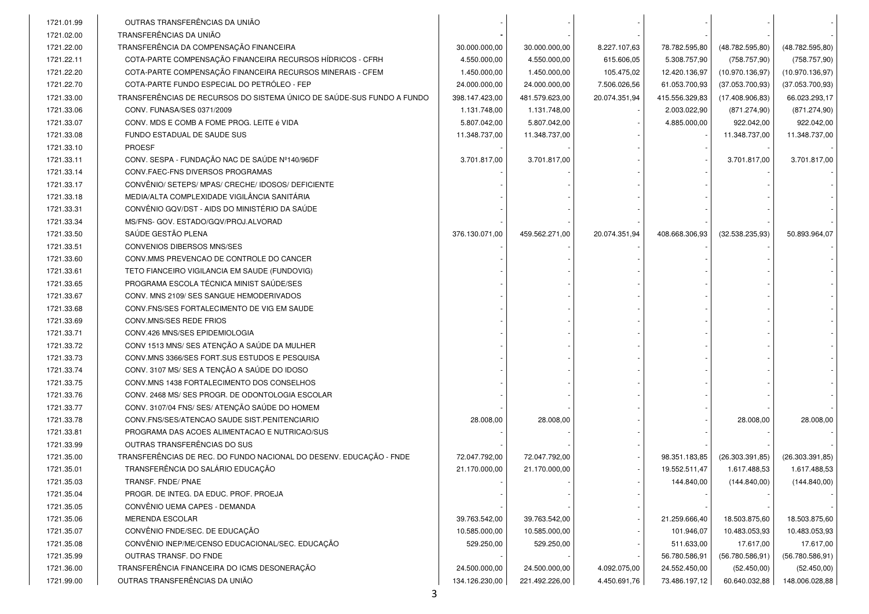| OUTRAS TRANSFERÊNCIAS DA UNIÃO<br>1721.01.99<br>TRANSFERÊNCIAS DA UNIÃO<br>1721.02.00<br>TRANSFERÊNCIA DA COMPENSAÇÃO FINANCEIRA<br>1721.22.00<br>30.000.000,00<br>30.000.000,00<br>8.227.107.63<br>78.782.595,80<br>(48.782.595, 80)<br>(48.782.595, 80)<br>COTA-PARTE COMPENSAÇÃO FINANCEIRA RECURSOS HÍDRICOS - CFRH<br>1721.22.11<br>4.550.000,00<br>4.550.000,00<br>615.606,05<br>5.308.757,90<br>(758.757, 90)<br>(758.757, 90)<br>1721.22.20<br>COTA-PARTE COMPENSAÇÃO FINANCEIRA RECURSOS MINERAIS - CFEM<br>1.450.000,00<br>1.450.000,00<br>105.475,02<br>12.420.136,97<br>(10.970.136,97)<br>(10.970.136,97)<br>1721.22.70<br>COTA-PARTE FUNDO ESPECIAL DO PETRÓLEO - FEP<br>61.053.700,93<br>24.000.000,00<br>24.000.000,00<br>7.506.026,56<br>(37.053.700, 93)<br>(37.053.700, 93)<br>TRANSFERÊNCIAS DE RECURSOS DO SISTEMA ÚNICO DE SAÚDE-SUS FUNDO A FUNDO<br>398.147.423,00<br>1721.33.00<br>481.579.623,00<br>20.074.351,94<br>415.556.329,83<br>(17.408.906, 83)<br>66.023.293,17<br>CONV. FUNASA/SES 0371/2009<br>1721.33.06<br>1.131.748,00<br>1.131.748,00<br>2.003.022,90<br>(871.274,90)<br>(871.274,90)<br>CONV. MDS E COMB A FOME PROG. LEITE é VIDA<br>1721.33.07<br>5.807.042,00<br>5.807.042,00<br>4.885.000,00<br>922.042,00<br>922.042,00<br>1721.33.08<br>FUNDO ESTADUAL DE SAUDE SUS<br>11.348.737,00<br>11.348.737,00<br>11.348.737,00<br>11.348.737,00<br><b>PROESF</b><br>1721.33.10<br>CONV. SESPA - FUNDAÇÃO NAC DE SAÚDE Nº140/96DF<br>1721.33.11<br>3.701.817,00<br>3.701.817,00<br>3.701.817,00<br>3.701.817,00<br>1721.33.14<br>CONV.FAEC-FNS DIVERSOS PROGRAMAS<br>CONVÊNIO/ SETEPS/ MPAS/ CRECHE/ IDOSOS/ DEFICIENTE<br>1721.33.17<br>MEDIA/ALTA COMPLEXIDADE VIGILÂNCIA SANITÁRIA<br>1721.33.18<br>CONVÊNIO GQV/DST - AIDS DO MINISTÉRIO DA SAÚDE<br>1721.33.31<br>MS/FNS- GOV. ESTADO/GQV/PROJ.ALVORAD<br>1721.33.34<br>SAÚDE GESTÃO PLENA<br>20.074.351,94<br>1721.33.50<br>376.130.071,00<br>459.562.271,00<br>408.668.306,93<br>(32.538.235,93)<br>50.893.964,07<br><b>CONVENIOS DIBERSOS MNS/SES</b><br>1721.33.51<br>CONV.MMS PREVENCAO DE CONTROLE DO CANCER<br>1721.33.60<br>TETO FIANCEIRO VIGILANCIA EM SAUDE (FUNDOVIG)<br>1721.33.61<br>PROGRAMA ESCOLA TÉCNICA MINIST SAÚDE/SES<br>1721.33.65<br>CONV. MNS 2109/ SES SANGUE HEMODERIVADOS<br>1721.33.67<br>1721.33.68<br>CONV.FNS/SES FORTALECIMENTO DE VIG EM SAUDE<br>CONV.MNS/SES REDE FRIOS<br>1721.33.69<br>CONV.426 MNS/SES EPIDEMIOLOGIA<br>1721.33.71<br>CONV 1513 MNS/ SES ATENÇÃO A SAÚDE DA MULHER<br>1721.33.72<br>CONV.MNS 3366/SES FORT.SUS ESTUDOS E PESQUISA<br>1721.33.73<br>CONV. 3107 MS/ SES A TENÇÃO A SAÚDE DO IDOSO<br>1721.33.74<br>CONV.MNS 1438 FORTALECIMENTO DOS CONSELHOS<br>1721.33.75<br>CONV. 2468 MS/ SES PROGR. DE ODONTOLOGIA ESCOLAR<br>1721.33.76<br>CONV. 3107/04 FNS/ SES/ ATENÇÃO SAÚDE DO HOMEM<br>1721.33.77<br>1721.33.78<br>CONV.FNS/SES/ATENCAO SAUDE SIST.PENITENCIARIO<br>28.008,00<br>28.008,00<br>28.008,00<br>28.008,00<br>PROGRAMA DAS ACOES ALIMENTACAO E NUTRICAO/SUS<br>1721.33.81<br>OUTRAS TRANSFERÊNCIAS DO SUS<br>1721.33.99<br>TRANSFERÊNCIAS DE REC. DO FUNDO NACIONAL DO DESENV. EDUCAÇÃO - FNDE<br>1721.35.00<br>72.047.792,00<br>72.047.792,00<br>98.351.183,85<br>(26.303.391, 85)<br>(26.303.391, 85)<br>TRANSFERÊNCIA DO SALÁRIO EDUCAÇÃO<br>1721.35.01<br>21.170.000,00<br>21.170.000,00<br>19.552.511,47<br>1.617.488,53<br>1.617.488,53 |
|----------------------------------------------------------------------------------------------------------------------------------------------------------------------------------------------------------------------------------------------------------------------------------------------------------------------------------------------------------------------------------------------------------------------------------------------------------------------------------------------------------------------------------------------------------------------------------------------------------------------------------------------------------------------------------------------------------------------------------------------------------------------------------------------------------------------------------------------------------------------------------------------------------------------------------------------------------------------------------------------------------------------------------------------------------------------------------------------------------------------------------------------------------------------------------------------------------------------------------------------------------------------------------------------------------------------------------------------------------------------------------------------------------------------------------------------------------------------------------------------------------------------------------------------------------------------------------------------------------------------------------------------------------------------------------------------------------------------------------------------------------------------------------------------------------------------------------------------------------------------------------------------------------------------------------------------------------------------------------------------------------------------------------------------------------------------------------------------------------------------------------------------------------------------------------------------------------------------------------------------------------------------------------------------------------------------------------------------------------------------------------------------------------------------------------------------------------------------------------------------------------------------------------------------------------------------------------------------------------------------------------------------------------------------------------------------------------------------------------------------------------------------------------------------------------------------------------------------------------------------------------------------------------------------------------------------------------------------------------------------------------------------------------------------------------------------------------------------------------------------------------------------------------------------------------------------------------------------------------------------------------------------------------------------------------------------------------------------------------------------------------------------------------------------|
|                                                                                                                                                                                                                                                                                                                                                                                                                                                                                                                                                                                                                                                                                                                                                                                                                                                                                                                                                                                                                                                                                                                                                                                                                                                                                                                                                                                                                                                                                                                                                                                                                                                                                                                                                                                                                                                                                                                                                                                                                                                                                                                                                                                                                                                                                                                                                                                                                                                                                                                                                                                                                                                                                                                                                                                                                                                                                                                                                                                                                                                                                                                                                                                                                                                                                                                                                                                                                      |
|                                                                                                                                                                                                                                                                                                                                                                                                                                                                                                                                                                                                                                                                                                                                                                                                                                                                                                                                                                                                                                                                                                                                                                                                                                                                                                                                                                                                                                                                                                                                                                                                                                                                                                                                                                                                                                                                                                                                                                                                                                                                                                                                                                                                                                                                                                                                                                                                                                                                                                                                                                                                                                                                                                                                                                                                                                                                                                                                                                                                                                                                                                                                                                                                                                                                                                                                                                                                                      |
|                                                                                                                                                                                                                                                                                                                                                                                                                                                                                                                                                                                                                                                                                                                                                                                                                                                                                                                                                                                                                                                                                                                                                                                                                                                                                                                                                                                                                                                                                                                                                                                                                                                                                                                                                                                                                                                                                                                                                                                                                                                                                                                                                                                                                                                                                                                                                                                                                                                                                                                                                                                                                                                                                                                                                                                                                                                                                                                                                                                                                                                                                                                                                                                                                                                                                                                                                                                                                      |
|                                                                                                                                                                                                                                                                                                                                                                                                                                                                                                                                                                                                                                                                                                                                                                                                                                                                                                                                                                                                                                                                                                                                                                                                                                                                                                                                                                                                                                                                                                                                                                                                                                                                                                                                                                                                                                                                                                                                                                                                                                                                                                                                                                                                                                                                                                                                                                                                                                                                                                                                                                                                                                                                                                                                                                                                                                                                                                                                                                                                                                                                                                                                                                                                                                                                                                                                                                                                                      |
|                                                                                                                                                                                                                                                                                                                                                                                                                                                                                                                                                                                                                                                                                                                                                                                                                                                                                                                                                                                                                                                                                                                                                                                                                                                                                                                                                                                                                                                                                                                                                                                                                                                                                                                                                                                                                                                                                                                                                                                                                                                                                                                                                                                                                                                                                                                                                                                                                                                                                                                                                                                                                                                                                                                                                                                                                                                                                                                                                                                                                                                                                                                                                                                                                                                                                                                                                                                                                      |
|                                                                                                                                                                                                                                                                                                                                                                                                                                                                                                                                                                                                                                                                                                                                                                                                                                                                                                                                                                                                                                                                                                                                                                                                                                                                                                                                                                                                                                                                                                                                                                                                                                                                                                                                                                                                                                                                                                                                                                                                                                                                                                                                                                                                                                                                                                                                                                                                                                                                                                                                                                                                                                                                                                                                                                                                                                                                                                                                                                                                                                                                                                                                                                                                                                                                                                                                                                                                                      |
|                                                                                                                                                                                                                                                                                                                                                                                                                                                                                                                                                                                                                                                                                                                                                                                                                                                                                                                                                                                                                                                                                                                                                                                                                                                                                                                                                                                                                                                                                                                                                                                                                                                                                                                                                                                                                                                                                                                                                                                                                                                                                                                                                                                                                                                                                                                                                                                                                                                                                                                                                                                                                                                                                                                                                                                                                                                                                                                                                                                                                                                                                                                                                                                                                                                                                                                                                                                                                      |
|                                                                                                                                                                                                                                                                                                                                                                                                                                                                                                                                                                                                                                                                                                                                                                                                                                                                                                                                                                                                                                                                                                                                                                                                                                                                                                                                                                                                                                                                                                                                                                                                                                                                                                                                                                                                                                                                                                                                                                                                                                                                                                                                                                                                                                                                                                                                                                                                                                                                                                                                                                                                                                                                                                                                                                                                                                                                                                                                                                                                                                                                                                                                                                                                                                                                                                                                                                                                                      |
|                                                                                                                                                                                                                                                                                                                                                                                                                                                                                                                                                                                                                                                                                                                                                                                                                                                                                                                                                                                                                                                                                                                                                                                                                                                                                                                                                                                                                                                                                                                                                                                                                                                                                                                                                                                                                                                                                                                                                                                                                                                                                                                                                                                                                                                                                                                                                                                                                                                                                                                                                                                                                                                                                                                                                                                                                                                                                                                                                                                                                                                                                                                                                                                                                                                                                                                                                                                                                      |
|                                                                                                                                                                                                                                                                                                                                                                                                                                                                                                                                                                                                                                                                                                                                                                                                                                                                                                                                                                                                                                                                                                                                                                                                                                                                                                                                                                                                                                                                                                                                                                                                                                                                                                                                                                                                                                                                                                                                                                                                                                                                                                                                                                                                                                                                                                                                                                                                                                                                                                                                                                                                                                                                                                                                                                                                                                                                                                                                                                                                                                                                                                                                                                                                                                                                                                                                                                                                                      |
|                                                                                                                                                                                                                                                                                                                                                                                                                                                                                                                                                                                                                                                                                                                                                                                                                                                                                                                                                                                                                                                                                                                                                                                                                                                                                                                                                                                                                                                                                                                                                                                                                                                                                                                                                                                                                                                                                                                                                                                                                                                                                                                                                                                                                                                                                                                                                                                                                                                                                                                                                                                                                                                                                                                                                                                                                                                                                                                                                                                                                                                                                                                                                                                                                                                                                                                                                                                                                      |
|                                                                                                                                                                                                                                                                                                                                                                                                                                                                                                                                                                                                                                                                                                                                                                                                                                                                                                                                                                                                                                                                                                                                                                                                                                                                                                                                                                                                                                                                                                                                                                                                                                                                                                                                                                                                                                                                                                                                                                                                                                                                                                                                                                                                                                                                                                                                                                                                                                                                                                                                                                                                                                                                                                                                                                                                                                                                                                                                                                                                                                                                                                                                                                                                                                                                                                                                                                                                                      |
|                                                                                                                                                                                                                                                                                                                                                                                                                                                                                                                                                                                                                                                                                                                                                                                                                                                                                                                                                                                                                                                                                                                                                                                                                                                                                                                                                                                                                                                                                                                                                                                                                                                                                                                                                                                                                                                                                                                                                                                                                                                                                                                                                                                                                                                                                                                                                                                                                                                                                                                                                                                                                                                                                                                                                                                                                                                                                                                                                                                                                                                                                                                                                                                                                                                                                                                                                                                                                      |
|                                                                                                                                                                                                                                                                                                                                                                                                                                                                                                                                                                                                                                                                                                                                                                                                                                                                                                                                                                                                                                                                                                                                                                                                                                                                                                                                                                                                                                                                                                                                                                                                                                                                                                                                                                                                                                                                                                                                                                                                                                                                                                                                                                                                                                                                                                                                                                                                                                                                                                                                                                                                                                                                                                                                                                                                                                                                                                                                                                                                                                                                                                                                                                                                                                                                                                                                                                                                                      |
|                                                                                                                                                                                                                                                                                                                                                                                                                                                                                                                                                                                                                                                                                                                                                                                                                                                                                                                                                                                                                                                                                                                                                                                                                                                                                                                                                                                                                                                                                                                                                                                                                                                                                                                                                                                                                                                                                                                                                                                                                                                                                                                                                                                                                                                                                                                                                                                                                                                                                                                                                                                                                                                                                                                                                                                                                                                                                                                                                                                                                                                                                                                                                                                                                                                                                                                                                                                                                      |
|                                                                                                                                                                                                                                                                                                                                                                                                                                                                                                                                                                                                                                                                                                                                                                                                                                                                                                                                                                                                                                                                                                                                                                                                                                                                                                                                                                                                                                                                                                                                                                                                                                                                                                                                                                                                                                                                                                                                                                                                                                                                                                                                                                                                                                                                                                                                                                                                                                                                                                                                                                                                                                                                                                                                                                                                                                                                                                                                                                                                                                                                                                                                                                                                                                                                                                                                                                                                                      |
|                                                                                                                                                                                                                                                                                                                                                                                                                                                                                                                                                                                                                                                                                                                                                                                                                                                                                                                                                                                                                                                                                                                                                                                                                                                                                                                                                                                                                                                                                                                                                                                                                                                                                                                                                                                                                                                                                                                                                                                                                                                                                                                                                                                                                                                                                                                                                                                                                                                                                                                                                                                                                                                                                                                                                                                                                                                                                                                                                                                                                                                                                                                                                                                                                                                                                                                                                                                                                      |
|                                                                                                                                                                                                                                                                                                                                                                                                                                                                                                                                                                                                                                                                                                                                                                                                                                                                                                                                                                                                                                                                                                                                                                                                                                                                                                                                                                                                                                                                                                                                                                                                                                                                                                                                                                                                                                                                                                                                                                                                                                                                                                                                                                                                                                                                                                                                                                                                                                                                                                                                                                                                                                                                                                                                                                                                                                                                                                                                                                                                                                                                                                                                                                                                                                                                                                                                                                                                                      |
|                                                                                                                                                                                                                                                                                                                                                                                                                                                                                                                                                                                                                                                                                                                                                                                                                                                                                                                                                                                                                                                                                                                                                                                                                                                                                                                                                                                                                                                                                                                                                                                                                                                                                                                                                                                                                                                                                                                                                                                                                                                                                                                                                                                                                                                                                                                                                                                                                                                                                                                                                                                                                                                                                                                                                                                                                                                                                                                                                                                                                                                                                                                                                                                                                                                                                                                                                                                                                      |
|                                                                                                                                                                                                                                                                                                                                                                                                                                                                                                                                                                                                                                                                                                                                                                                                                                                                                                                                                                                                                                                                                                                                                                                                                                                                                                                                                                                                                                                                                                                                                                                                                                                                                                                                                                                                                                                                                                                                                                                                                                                                                                                                                                                                                                                                                                                                                                                                                                                                                                                                                                                                                                                                                                                                                                                                                                                                                                                                                                                                                                                                                                                                                                                                                                                                                                                                                                                                                      |
|                                                                                                                                                                                                                                                                                                                                                                                                                                                                                                                                                                                                                                                                                                                                                                                                                                                                                                                                                                                                                                                                                                                                                                                                                                                                                                                                                                                                                                                                                                                                                                                                                                                                                                                                                                                                                                                                                                                                                                                                                                                                                                                                                                                                                                                                                                                                                                                                                                                                                                                                                                                                                                                                                                                                                                                                                                                                                                                                                                                                                                                                                                                                                                                                                                                                                                                                                                                                                      |
|                                                                                                                                                                                                                                                                                                                                                                                                                                                                                                                                                                                                                                                                                                                                                                                                                                                                                                                                                                                                                                                                                                                                                                                                                                                                                                                                                                                                                                                                                                                                                                                                                                                                                                                                                                                                                                                                                                                                                                                                                                                                                                                                                                                                                                                                                                                                                                                                                                                                                                                                                                                                                                                                                                                                                                                                                                                                                                                                                                                                                                                                                                                                                                                                                                                                                                                                                                                                                      |
|                                                                                                                                                                                                                                                                                                                                                                                                                                                                                                                                                                                                                                                                                                                                                                                                                                                                                                                                                                                                                                                                                                                                                                                                                                                                                                                                                                                                                                                                                                                                                                                                                                                                                                                                                                                                                                                                                                                                                                                                                                                                                                                                                                                                                                                                                                                                                                                                                                                                                                                                                                                                                                                                                                                                                                                                                                                                                                                                                                                                                                                                                                                                                                                                                                                                                                                                                                                                                      |
|                                                                                                                                                                                                                                                                                                                                                                                                                                                                                                                                                                                                                                                                                                                                                                                                                                                                                                                                                                                                                                                                                                                                                                                                                                                                                                                                                                                                                                                                                                                                                                                                                                                                                                                                                                                                                                                                                                                                                                                                                                                                                                                                                                                                                                                                                                                                                                                                                                                                                                                                                                                                                                                                                                                                                                                                                                                                                                                                                                                                                                                                                                                                                                                                                                                                                                                                                                                                                      |
|                                                                                                                                                                                                                                                                                                                                                                                                                                                                                                                                                                                                                                                                                                                                                                                                                                                                                                                                                                                                                                                                                                                                                                                                                                                                                                                                                                                                                                                                                                                                                                                                                                                                                                                                                                                                                                                                                                                                                                                                                                                                                                                                                                                                                                                                                                                                                                                                                                                                                                                                                                                                                                                                                                                                                                                                                                                                                                                                                                                                                                                                                                                                                                                                                                                                                                                                                                                                                      |
|                                                                                                                                                                                                                                                                                                                                                                                                                                                                                                                                                                                                                                                                                                                                                                                                                                                                                                                                                                                                                                                                                                                                                                                                                                                                                                                                                                                                                                                                                                                                                                                                                                                                                                                                                                                                                                                                                                                                                                                                                                                                                                                                                                                                                                                                                                                                                                                                                                                                                                                                                                                                                                                                                                                                                                                                                                                                                                                                                                                                                                                                                                                                                                                                                                                                                                                                                                                                                      |
|                                                                                                                                                                                                                                                                                                                                                                                                                                                                                                                                                                                                                                                                                                                                                                                                                                                                                                                                                                                                                                                                                                                                                                                                                                                                                                                                                                                                                                                                                                                                                                                                                                                                                                                                                                                                                                                                                                                                                                                                                                                                                                                                                                                                                                                                                                                                                                                                                                                                                                                                                                                                                                                                                                                                                                                                                                                                                                                                                                                                                                                                                                                                                                                                                                                                                                                                                                                                                      |
|                                                                                                                                                                                                                                                                                                                                                                                                                                                                                                                                                                                                                                                                                                                                                                                                                                                                                                                                                                                                                                                                                                                                                                                                                                                                                                                                                                                                                                                                                                                                                                                                                                                                                                                                                                                                                                                                                                                                                                                                                                                                                                                                                                                                                                                                                                                                                                                                                                                                                                                                                                                                                                                                                                                                                                                                                                                                                                                                                                                                                                                                                                                                                                                                                                                                                                                                                                                                                      |
|                                                                                                                                                                                                                                                                                                                                                                                                                                                                                                                                                                                                                                                                                                                                                                                                                                                                                                                                                                                                                                                                                                                                                                                                                                                                                                                                                                                                                                                                                                                                                                                                                                                                                                                                                                                                                                                                                                                                                                                                                                                                                                                                                                                                                                                                                                                                                                                                                                                                                                                                                                                                                                                                                                                                                                                                                                                                                                                                                                                                                                                                                                                                                                                                                                                                                                                                                                                                                      |
|                                                                                                                                                                                                                                                                                                                                                                                                                                                                                                                                                                                                                                                                                                                                                                                                                                                                                                                                                                                                                                                                                                                                                                                                                                                                                                                                                                                                                                                                                                                                                                                                                                                                                                                                                                                                                                                                                                                                                                                                                                                                                                                                                                                                                                                                                                                                                                                                                                                                                                                                                                                                                                                                                                                                                                                                                                                                                                                                                                                                                                                                                                                                                                                                                                                                                                                                                                                                                      |
|                                                                                                                                                                                                                                                                                                                                                                                                                                                                                                                                                                                                                                                                                                                                                                                                                                                                                                                                                                                                                                                                                                                                                                                                                                                                                                                                                                                                                                                                                                                                                                                                                                                                                                                                                                                                                                                                                                                                                                                                                                                                                                                                                                                                                                                                                                                                                                                                                                                                                                                                                                                                                                                                                                                                                                                                                                                                                                                                                                                                                                                                                                                                                                                                                                                                                                                                                                                                                      |
|                                                                                                                                                                                                                                                                                                                                                                                                                                                                                                                                                                                                                                                                                                                                                                                                                                                                                                                                                                                                                                                                                                                                                                                                                                                                                                                                                                                                                                                                                                                                                                                                                                                                                                                                                                                                                                                                                                                                                                                                                                                                                                                                                                                                                                                                                                                                                                                                                                                                                                                                                                                                                                                                                                                                                                                                                                                                                                                                                                                                                                                                                                                                                                                                                                                                                                                                                                                                                      |
|                                                                                                                                                                                                                                                                                                                                                                                                                                                                                                                                                                                                                                                                                                                                                                                                                                                                                                                                                                                                                                                                                                                                                                                                                                                                                                                                                                                                                                                                                                                                                                                                                                                                                                                                                                                                                                                                                                                                                                                                                                                                                                                                                                                                                                                                                                                                                                                                                                                                                                                                                                                                                                                                                                                                                                                                                                                                                                                                                                                                                                                                                                                                                                                                                                                                                                                                                                                                                      |
|                                                                                                                                                                                                                                                                                                                                                                                                                                                                                                                                                                                                                                                                                                                                                                                                                                                                                                                                                                                                                                                                                                                                                                                                                                                                                                                                                                                                                                                                                                                                                                                                                                                                                                                                                                                                                                                                                                                                                                                                                                                                                                                                                                                                                                                                                                                                                                                                                                                                                                                                                                                                                                                                                                                                                                                                                                                                                                                                                                                                                                                                                                                                                                                                                                                                                                                                                                                                                      |
|                                                                                                                                                                                                                                                                                                                                                                                                                                                                                                                                                                                                                                                                                                                                                                                                                                                                                                                                                                                                                                                                                                                                                                                                                                                                                                                                                                                                                                                                                                                                                                                                                                                                                                                                                                                                                                                                                                                                                                                                                                                                                                                                                                                                                                                                                                                                                                                                                                                                                                                                                                                                                                                                                                                                                                                                                                                                                                                                                                                                                                                                                                                                                                                                                                                                                                                                                                                                                      |
|                                                                                                                                                                                                                                                                                                                                                                                                                                                                                                                                                                                                                                                                                                                                                                                                                                                                                                                                                                                                                                                                                                                                                                                                                                                                                                                                                                                                                                                                                                                                                                                                                                                                                                                                                                                                                                                                                                                                                                                                                                                                                                                                                                                                                                                                                                                                                                                                                                                                                                                                                                                                                                                                                                                                                                                                                                                                                                                                                                                                                                                                                                                                                                                                                                                                                                                                                                                                                      |
|                                                                                                                                                                                                                                                                                                                                                                                                                                                                                                                                                                                                                                                                                                                                                                                                                                                                                                                                                                                                                                                                                                                                                                                                                                                                                                                                                                                                                                                                                                                                                                                                                                                                                                                                                                                                                                                                                                                                                                                                                                                                                                                                                                                                                                                                                                                                                                                                                                                                                                                                                                                                                                                                                                                                                                                                                                                                                                                                                                                                                                                                                                                                                                                                                                                                                                                                                                                                                      |
| 1721.35.03<br>TRANSF. FNDE/ PNAE<br>144.840,00<br>(144.840,00)<br>(144.840,00)                                                                                                                                                                                                                                                                                                                                                                                                                                                                                                                                                                                                                                                                                                                                                                                                                                                                                                                                                                                                                                                                                                                                                                                                                                                                                                                                                                                                                                                                                                                                                                                                                                                                                                                                                                                                                                                                                                                                                                                                                                                                                                                                                                                                                                                                                                                                                                                                                                                                                                                                                                                                                                                                                                                                                                                                                                                                                                                                                                                                                                                                                                                                                                                                                                                                                                                                       |
| 1721.35.04<br>PROGR. DE INTEG. DA EDUC. PROF. PROEJA                                                                                                                                                                                                                                                                                                                                                                                                                                                                                                                                                                                                                                                                                                                                                                                                                                                                                                                                                                                                                                                                                                                                                                                                                                                                                                                                                                                                                                                                                                                                                                                                                                                                                                                                                                                                                                                                                                                                                                                                                                                                                                                                                                                                                                                                                                                                                                                                                                                                                                                                                                                                                                                                                                                                                                                                                                                                                                                                                                                                                                                                                                                                                                                                                                                                                                                                                                 |
| 1721.35.05<br>CONVÊNIO UEMA CAPES - DEMANDA                                                                                                                                                                                                                                                                                                                                                                                                                                                                                                                                                                                                                                                                                                                                                                                                                                                                                                                                                                                                                                                                                                                                                                                                                                                                                                                                                                                                                                                                                                                                                                                                                                                                                                                                                                                                                                                                                                                                                                                                                                                                                                                                                                                                                                                                                                                                                                                                                                                                                                                                                                                                                                                                                                                                                                                                                                                                                                                                                                                                                                                                                                                                                                                                                                                                                                                                                                          |
| 1721.35.06<br><b>MERENDA ESCOLAR</b><br>39.763.542,00<br>39.763.542,00<br>21.259.666,40<br>18.503.875,60<br>18.503.875,60                                                                                                                                                                                                                                                                                                                                                                                                                                                                                                                                                                                                                                                                                                                                                                                                                                                                                                                                                                                                                                                                                                                                                                                                                                                                                                                                                                                                                                                                                                                                                                                                                                                                                                                                                                                                                                                                                                                                                                                                                                                                                                                                                                                                                                                                                                                                                                                                                                                                                                                                                                                                                                                                                                                                                                                                                                                                                                                                                                                                                                                                                                                                                                                                                                                                                            |
| CONVÊNIO FNDE/SEC. DE EDUCAÇÃO<br>1721.35.07<br>10.483.053,93<br>10.585.000,00<br>10.585.000,00<br>101.946,07<br>10.483.053,93                                                                                                                                                                                                                                                                                                                                                                                                                                                                                                                                                                                                                                                                                                                                                                                                                                                                                                                                                                                                                                                                                                                                                                                                                                                                                                                                                                                                                                                                                                                                                                                                                                                                                                                                                                                                                                                                                                                                                                                                                                                                                                                                                                                                                                                                                                                                                                                                                                                                                                                                                                                                                                                                                                                                                                                                                                                                                                                                                                                                                                                                                                                                                                                                                                                                                       |
| CONVÊNIO INEP/ME/CENSO EDUCACIONAL/SEC. EDUCAÇÃO<br>1721.35.08<br>529.250,00<br>529.250,00<br>511.633,00<br>17.617,00<br>17.617,00                                                                                                                                                                                                                                                                                                                                                                                                                                                                                                                                                                                                                                                                                                                                                                                                                                                                                                                                                                                                                                                                                                                                                                                                                                                                                                                                                                                                                                                                                                                                                                                                                                                                                                                                                                                                                                                                                                                                                                                                                                                                                                                                                                                                                                                                                                                                                                                                                                                                                                                                                                                                                                                                                                                                                                                                                                                                                                                                                                                                                                                                                                                                                                                                                                                                                   |
| 1721.35.99<br>OUTRAS TRANSF. DO FNDE<br>56.780.586,91<br>(56.780.586, 91)<br>(56.780.586, 91)                                                                                                                                                                                                                                                                                                                                                                                                                                                                                                                                                                                                                                                                                                                                                                                                                                                                                                                                                                                                                                                                                                                                                                                                                                                                                                                                                                                                                                                                                                                                                                                                                                                                                                                                                                                                                                                                                                                                                                                                                                                                                                                                                                                                                                                                                                                                                                                                                                                                                                                                                                                                                                                                                                                                                                                                                                                                                                                                                                                                                                                                                                                                                                                                                                                                                                                        |
| TRANSFERÊNCIA FINANCEIRA DO ICMS DESONERAÇÃO<br>1721.36.00<br>24.500.000,00<br>24.500.000,00<br>4.092.075,00<br>24.552.450,00<br>(52.450,00)<br>(52.450,00)                                                                                                                                                                                                                                                                                                                                                                                                                                                                                                                                                                                                                                                                                                                                                                                                                                                                                                                                                                                                                                                                                                                                                                                                                                                                                                                                                                                                                                                                                                                                                                                                                                                                                                                                                                                                                                                                                                                                                                                                                                                                                                                                                                                                                                                                                                                                                                                                                                                                                                                                                                                                                                                                                                                                                                                                                                                                                                                                                                                                                                                                                                                                                                                                                                                          |
| OUTRAS TRANSFERÊNCIAS DA UNIÃO<br>1721.99.00<br>134.126.230,00<br>221.492.226,00<br>4.450.691,76<br>73.486.197,12<br>60.640.032,88<br>148.006.028,88                                                                                                                                                                                                                                                                                                                                                                                                                                                                                                                                                                                                                                                                                                                                                                                                                                                                                                                                                                                                                                                                                                                                                                                                                                                                                                                                                                                                                                                                                                                                                                                                                                                                                                                                                                                                                                                                                                                                                                                                                                                                                                                                                                                                                                                                                                                                                                                                                                                                                                                                                                                                                                                                                                                                                                                                                                                                                                                                                                                                                                                                                                                                                                                                                                                                 |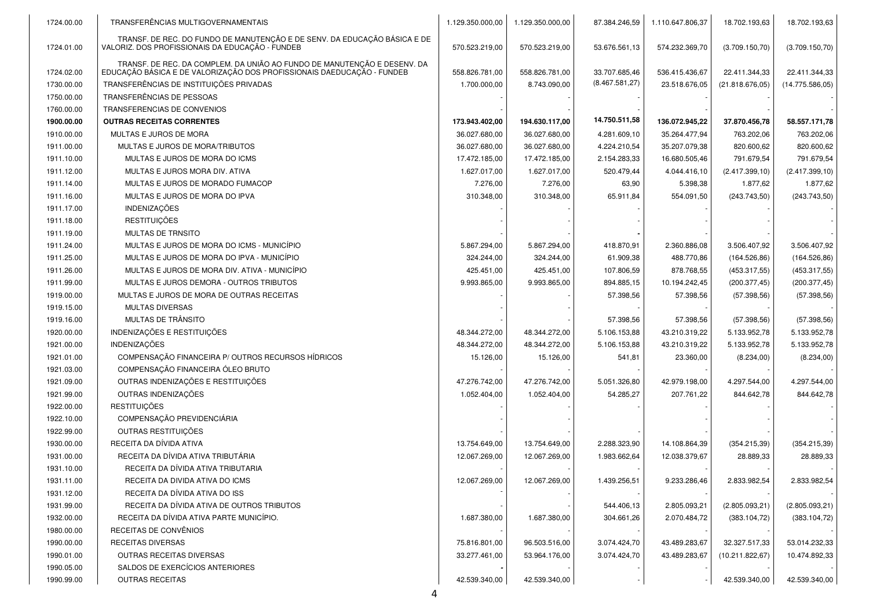| TRANSF. DE REC. DO FUNDO DE MANUTENÇÃO E DE SENV. DA EDUCAÇÃO BÁSICA E DE<br>VALORIZ. DOS PROFISSIONAIS DA EDUCAÇÃO - FUNDEB<br>1724.01.00<br>570.523.219,00<br>570.523.219,00<br>53.676.561,13<br>574.232.369,70<br>(3.709.150, 70)<br>(3.709.150, 70)<br>TRANSF. DE REC. DA COMPLEM. DA UNIÃO AO FUNDO DE MANUTENÇÃO E DESENV. DA<br>EDUCAÇÃO BÁSICA E DE VALORIZAÇÃO DOS PROFISSIONAIS DAEDUCAÇÃO - FUNDEB<br>33.707.685,46<br>22.411.344,33<br>1724.02.00<br>558.826.781,00<br>558.826.781,00<br>536.415.436,67<br>22.411.344,33<br>(8.467.581, 27)<br>TRANSFERÊNCIAS DE INSTITUIÇÕES PRIVADAS<br>1730.00.00<br>1.700.000,00<br>8.743.090,00<br>23.518.676,05<br>(21.818.676,05)<br>(14.775.586,05)<br>1750.00.00<br>TRANSFERÊNCIAS DE PESSOAS<br>1760.00.00<br>TRANSFERENCIAS DE CONVENIOS<br>14.750.511,58<br>1900.00.00<br><b>OUTRAS RECEITAS CORRENTES</b><br>173.943.402,00<br>194.630.117,00<br>136.072.945,22<br>37.870.456,78<br>58.557.171,78<br>1910.00.00<br>MULTAS E JUROS DE MORA<br>36.027.680,00<br>36.027.680,00<br>35.264.477,94<br>763.202,06<br>763.202,06<br>4.281.609,10<br>1911.00.00<br>MULTAS E JUROS DE MORA/TRIBUTOS<br>36.027.680,00<br>36.027.680,00<br>4.224.210,54<br>35.207.079,38<br>820.600,62<br>820.600,62<br>1911.10.00<br>17.472.185,00<br>17.472.185,00<br>2.154.283,33<br>16.680.505,46<br>791.679,54<br>791.679,54<br>MULTAS E JUROS DE MORA DO ICMS<br>1911.12.00<br>MULTAS E JUROS MORA DIV. ATIVA<br>1.627.017,00<br>1.627.017,00<br>520.479,44<br>4.044.416,10<br>(2.417.399, 10)<br>(2.417.399, 10)<br>1911.14.00<br>MULTAS E JUROS DE MORADO FUMACOP<br>7.276,00<br>7.276,00<br>1.877,62<br>1.877,62<br>63,90<br>5.398,38<br>1911.16.00<br>MULTAS E JUROS DE MORA DO IPVA<br>310.348,00<br>65.911,84<br>554.091,50<br>310.348,00<br>(243.743,50)<br>(243.743,50)<br><b>INDENIZAÇÕES</b><br>1911.17.00<br><b>RESTITUIÇÕES</b><br>1911.18.00<br>1911.19.00<br><b>MULTAS DE TRNSITO</b><br>1911.24.00<br>MULTAS E JUROS DE MORA DO ICMS - MUNICÍPIO<br>5.867.294,00<br>418.870,91<br>2.360.886,08<br>3.506.407,92<br>3.506.407,92<br>5.867.294,00<br>1911.25.00<br>MULTAS E JUROS DE MORA DO IPVA - MUNICÍPIO<br>324.244,00<br>61.909,38<br>488.770,86<br>(164.526, 86)<br>(164.526, 86)<br>324.244,00<br>1911.26.00<br>MULTAS E JUROS DE MORA DIV. ATIVA - MUNICÍPIO<br>425.451,00<br>107.806,59<br>878.768,55<br>(453.317,55)<br>(453.317,55)<br>425.451,00<br>1911.99.00<br>MULTAS E JUROS DEMORA - OUTROS TRIBUTOS<br>9.993.865,00<br>894.885,15<br>10.194.242,45<br>(200.377, 45)<br>(200.377, 45)<br>9.993.865,00<br>1919.00.00<br>MULTAS E JUROS DE MORA DE OUTRAS RECEITAS<br>57.398,56<br>57.398,56<br>(57.398, 56)<br>(57.398, 56)<br>1919.15.00<br><b>MULTAS DIVERSAS</b><br>MULTAS DE TRÂNSITO<br>1919.16.00<br>57.398,56<br>57.398,56<br>(57.398, 56)<br>(57.398, 56)<br>INDENIZAÇÕES E RESTITUIÇÕES<br>1920.00.00<br>48.344.272,00<br>48.344.272,00<br>5.106.153,88<br>43.210.319,22<br>5.133.952,78<br>5.133.952,78<br><b>INDENIZAÇÕES</b><br>1921.00.00<br>48.344.272,00<br>48.344.272,00<br>5.106.153,88<br>43.210.319,22<br>5.133.952,78<br>5.133.952,78<br>COMPENSAÇÃO FINANCEIRA P/ OUTROS RECURSOS HÍDRICOS<br>1921.01.00<br>15.126,00<br>15.126,00<br>541,81<br>23.360,00<br>(8.234,00)<br>(8.234,00)<br>COMPENSAÇÃO FINANCEIRA ÓLEO BRUTO<br>1921.03.00<br>OUTRAS INDENIZAÇÕES E RESTITUIÇÕES<br>1921.09.00<br>47.276.742,00<br>42.979.198,00<br>4.297.544,00<br>4.297.544,00<br>47.276.742,00<br>5.051.326,80<br>OUTRAS INDENIZAÇÕES<br>1921.99.00<br>1.052.404,00<br>1.052.404,00<br>54.285,27<br>207.761,22<br>844.642,78<br>844.642,78<br><b>RESTITUIÇÕES</b><br>1922.00.00<br>COMPENSAÇÃO PREVIDENCIÁRIA<br>1922.10.00<br>OUTRAS RESTITUIÇÕES<br>1922.99.00<br>RECEITA DA DÍVIDA ATIVA<br>1930.00.00<br>(354.215, 39)<br>13.754.649,00<br>13.754.649,00<br>2.288.323,90<br>14.108.864,39<br>(354.215,39)<br>RECEITA DA DÍVIDA ATIVA TRIBUTÁRIA<br>1931.00.00<br>12.067.269,00<br>12.067.269,00<br>1.983.662,64<br>12.038.379,67<br>28.889,33<br>28.889,33<br>RECEITA DA DÍVIDA ATIVA TRIBUTARIA<br>1931.10.00<br>1931.11.00<br>RECEITA DA DIVIDA ATIVA DO ICMS<br>12.067.269,00<br>12.067.269,00<br>1.439.256,51<br>9.233.286,46<br>2.833.982,54<br>2.833.982,54<br>RECEITA DA DÍVIDA ATIVA DO ISS<br>1931.12.00<br>RECEITA DA DÍVIDA ATIVA DE OUTROS TRIBUTOS<br>1931.99.00<br>544.406,13<br>2.805.093,21<br>(2.805.093, 21)<br>(2.805.093, 21)<br>RECEITA DA DÍVIDA ATIVA PARTE MUNICÍPIO.<br>1932.00.00<br>1.687.380,00<br>1.687.380,00<br>304.661,26<br>2.070.484,72<br>(383.104, 72)<br>(383.104, 72)<br>RECEITAS DE CONVÊNIOS<br>1980.00.00<br><b>RECEITAS DIVERSAS</b><br>1990.00.00<br>96.503.516,00<br>3.074.424,70<br>43.489.283,67<br>32.327.517,33<br>53.014.232,33<br>75.816.801,00<br>OUTRAS RECEITAS DIVERSAS<br>1990.01.00<br>33.277.461,00<br>53.964.176,00<br>3.074.424,70<br>43.489.283,67<br>(10.211.822.67)<br>10.474.892,33<br>SALDOS DE EXERCÍCIOS ANTERIORES<br>1990.05.00 | 1724.00.00 | TRANSFERÊNCIAS MULTIGOVERNAMENTAIS | 1.129.350.000,00 | 1.129.350.000,00 | 87.384.246,59 | 1.110.647.806,37 | 18.702.193,63 | 18.702.193,63 |
|-------------------------------------------------------------------------------------------------------------------------------------------------------------------------------------------------------------------------------------------------------------------------------------------------------------------------------------------------------------------------------------------------------------------------------------------------------------------------------------------------------------------------------------------------------------------------------------------------------------------------------------------------------------------------------------------------------------------------------------------------------------------------------------------------------------------------------------------------------------------------------------------------------------------------------------------------------------------------------------------------------------------------------------------------------------------------------------------------------------------------------------------------------------------------------------------------------------------------------------------------------------------------------------------------------------------------------------------------------------------------------------------------------------------------------------------------------------------------------------------------------------------------------------------------------------------------------------------------------------------------------------------------------------------------------------------------------------------------------------------------------------------------------------------------------------------------------------------------------------------------------------------------------------------------------------------------------------------------------------------------------------------------------------------------------------------------------------------------------------------------------------------------------------------------------------------------------------------------------------------------------------------------------------------------------------------------------------------------------------------------------------------------------------------------------------------------------------------------------------------------------------------------------------------------------------------------------------------------------------------------------------------------------------------------------------------------------------------------------------------------------------------------------------------------------------------------------------------------------------------------------------------------------------------------------------------------------------------------------------------------------------------------------------------------------------------------------------------------------------------------------------------------------------------------------------------------------------------------------------------------------------------------------------------------------------------------------------------------------------------------------------------------------------------------------------------------------------------------------------------------------------------------------------------------------------------------------------------------------------------------------------------------------------------------------------------------------------------------------------------------------------------------------------------------------------------------------------------------------------------------------------------------------------------------------------------------------------------------------------------------------------------------------------------------------------------------------------------------------------------------------------------------------------------------------------------------------------------------------------------------------------------------------------------------------------------------------------------------------------------------------------------------------------------------------------------------------------------------------------------------------------------------------------------------------------------------------------------------------------------------------------------------------------------------------------------------------------------------------------------------------------------------------------------------------------------------------------------------------------------------------------------------------------------------------------------------------------------------------|------------|------------------------------------|------------------|------------------|---------------|------------------|---------------|---------------|
|                                                                                                                                                                                                                                                                                                                                                                                                                                                                                                                                                                                                                                                                                                                                                                                                                                                                                                                                                                                                                                                                                                                                                                                                                                                                                                                                                                                                                                                                                                                                                                                                                                                                                                                                                                                                                                                                                                                                                                                                                                                                                                                                                                                                                                                                                                                                                                                                                                                                                                                                                                                                                                                                                                                                                                                                                                                                                                                                                                                                                                                                                                                                                                                                                                                                                                                                                                                                                                                                                                                                                                                                                                                                                                                                                                                                                                                                                                                                                                                                                                                                                                                                                                                                                                                                                                                                                                                                                                                                                                                                                                                                                                                                                                                                                                                                                                                                                                                                                                               |            |                                    |                  |                  |               |                  |               |               |
|                                                                                                                                                                                                                                                                                                                                                                                                                                                                                                                                                                                                                                                                                                                                                                                                                                                                                                                                                                                                                                                                                                                                                                                                                                                                                                                                                                                                                                                                                                                                                                                                                                                                                                                                                                                                                                                                                                                                                                                                                                                                                                                                                                                                                                                                                                                                                                                                                                                                                                                                                                                                                                                                                                                                                                                                                                                                                                                                                                                                                                                                                                                                                                                                                                                                                                                                                                                                                                                                                                                                                                                                                                                                                                                                                                                                                                                                                                                                                                                                                                                                                                                                                                                                                                                                                                                                                                                                                                                                                                                                                                                                                                                                                                                                                                                                                                                                                                                                                                               |            |                                    |                  |                  |               |                  |               |               |
|                                                                                                                                                                                                                                                                                                                                                                                                                                                                                                                                                                                                                                                                                                                                                                                                                                                                                                                                                                                                                                                                                                                                                                                                                                                                                                                                                                                                                                                                                                                                                                                                                                                                                                                                                                                                                                                                                                                                                                                                                                                                                                                                                                                                                                                                                                                                                                                                                                                                                                                                                                                                                                                                                                                                                                                                                                                                                                                                                                                                                                                                                                                                                                                                                                                                                                                                                                                                                                                                                                                                                                                                                                                                                                                                                                                                                                                                                                                                                                                                                                                                                                                                                                                                                                                                                                                                                                                                                                                                                                                                                                                                                                                                                                                                                                                                                                                                                                                                                                               |            |                                    |                  |                  |               |                  |               |               |
|                                                                                                                                                                                                                                                                                                                                                                                                                                                                                                                                                                                                                                                                                                                                                                                                                                                                                                                                                                                                                                                                                                                                                                                                                                                                                                                                                                                                                                                                                                                                                                                                                                                                                                                                                                                                                                                                                                                                                                                                                                                                                                                                                                                                                                                                                                                                                                                                                                                                                                                                                                                                                                                                                                                                                                                                                                                                                                                                                                                                                                                                                                                                                                                                                                                                                                                                                                                                                                                                                                                                                                                                                                                                                                                                                                                                                                                                                                                                                                                                                                                                                                                                                                                                                                                                                                                                                                                                                                                                                                                                                                                                                                                                                                                                                                                                                                                                                                                                                                               |            |                                    |                  |                  |               |                  |               |               |
|                                                                                                                                                                                                                                                                                                                                                                                                                                                                                                                                                                                                                                                                                                                                                                                                                                                                                                                                                                                                                                                                                                                                                                                                                                                                                                                                                                                                                                                                                                                                                                                                                                                                                                                                                                                                                                                                                                                                                                                                                                                                                                                                                                                                                                                                                                                                                                                                                                                                                                                                                                                                                                                                                                                                                                                                                                                                                                                                                                                                                                                                                                                                                                                                                                                                                                                                                                                                                                                                                                                                                                                                                                                                                                                                                                                                                                                                                                                                                                                                                                                                                                                                                                                                                                                                                                                                                                                                                                                                                                                                                                                                                                                                                                                                                                                                                                                                                                                                                                               |            |                                    |                  |                  |               |                  |               |               |
|                                                                                                                                                                                                                                                                                                                                                                                                                                                                                                                                                                                                                                                                                                                                                                                                                                                                                                                                                                                                                                                                                                                                                                                                                                                                                                                                                                                                                                                                                                                                                                                                                                                                                                                                                                                                                                                                                                                                                                                                                                                                                                                                                                                                                                                                                                                                                                                                                                                                                                                                                                                                                                                                                                                                                                                                                                                                                                                                                                                                                                                                                                                                                                                                                                                                                                                                                                                                                                                                                                                                                                                                                                                                                                                                                                                                                                                                                                                                                                                                                                                                                                                                                                                                                                                                                                                                                                                                                                                                                                                                                                                                                                                                                                                                                                                                                                                                                                                                                                               |            |                                    |                  |                  |               |                  |               |               |
|                                                                                                                                                                                                                                                                                                                                                                                                                                                                                                                                                                                                                                                                                                                                                                                                                                                                                                                                                                                                                                                                                                                                                                                                                                                                                                                                                                                                                                                                                                                                                                                                                                                                                                                                                                                                                                                                                                                                                                                                                                                                                                                                                                                                                                                                                                                                                                                                                                                                                                                                                                                                                                                                                                                                                                                                                                                                                                                                                                                                                                                                                                                                                                                                                                                                                                                                                                                                                                                                                                                                                                                                                                                                                                                                                                                                                                                                                                                                                                                                                                                                                                                                                                                                                                                                                                                                                                                                                                                                                                                                                                                                                                                                                                                                                                                                                                                                                                                                                                               |            |                                    |                  |                  |               |                  |               |               |
|                                                                                                                                                                                                                                                                                                                                                                                                                                                                                                                                                                                                                                                                                                                                                                                                                                                                                                                                                                                                                                                                                                                                                                                                                                                                                                                                                                                                                                                                                                                                                                                                                                                                                                                                                                                                                                                                                                                                                                                                                                                                                                                                                                                                                                                                                                                                                                                                                                                                                                                                                                                                                                                                                                                                                                                                                                                                                                                                                                                                                                                                                                                                                                                                                                                                                                                                                                                                                                                                                                                                                                                                                                                                                                                                                                                                                                                                                                                                                                                                                                                                                                                                                                                                                                                                                                                                                                                                                                                                                                                                                                                                                                                                                                                                                                                                                                                                                                                                                                               |            |                                    |                  |                  |               |                  |               |               |
|                                                                                                                                                                                                                                                                                                                                                                                                                                                                                                                                                                                                                                                                                                                                                                                                                                                                                                                                                                                                                                                                                                                                                                                                                                                                                                                                                                                                                                                                                                                                                                                                                                                                                                                                                                                                                                                                                                                                                                                                                                                                                                                                                                                                                                                                                                                                                                                                                                                                                                                                                                                                                                                                                                                                                                                                                                                                                                                                                                                                                                                                                                                                                                                                                                                                                                                                                                                                                                                                                                                                                                                                                                                                                                                                                                                                                                                                                                                                                                                                                                                                                                                                                                                                                                                                                                                                                                                                                                                                                                                                                                                                                                                                                                                                                                                                                                                                                                                                                                               |            |                                    |                  |                  |               |                  |               |               |
|                                                                                                                                                                                                                                                                                                                                                                                                                                                                                                                                                                                                                                                                                                                                                                                                                                                                                                                                                                                                                                                                                                                                                                                                                                                                                                                                                                                                                                                                                                                                                                                                                                                                                                                                                                                                                                                                                                                                                                                                                                                                                                                                                                                                                                                                                                                                                                                                                                                                                                                                                                                                                                                                                                                                                                                                                                                                                                                                                                                                                                                                                                                                                                                                                                                                                                                                                                                                                                                                                                                                                                                                                                                                                                                                                                                                                                                                                                                                                                                                                                                                                                                                                                                                                                                                                                                                                                                                                                                                                                                                                                                                                                                                                                                                                                                                                                                                                                                                                                               |            |                                    |                  |                  |               |                  |               |               |
|                                                                                                                                                                                                                                                                                                                                                                                                                                                                                                                                                                                                                                                                                                                                                                                                                                                                                                                                                                                                                                                                                                                                                                                                                                                                                                                                                                                                                                                                                                                                                                                                                                                                                                                                                                                                                                                                                                                                                                                                                                                                                                                                                                                                                                                                                                                                                                                                                                                                                                                                                                                                                                                                                                                                                                                                                                                                                                                                                                                                                                                                                                                                                                                                                                                                                                                                                                                                                                                                                                                                                                                                                                                                                                                                                                                                                                                                                                                                                                                                                                                                                                                                                                                                                                                                                                                                                                                                                                                                                                                                                                                                                                                                                                                                                                                                                                                                                                                                                                               |            |                                    |                  |                  |               |                  |               |               |
|                                                                                                                                                                                                                                                                                                                                                                                                                                                                                                                                                                                                                                                                                                                                                                                                                                                                                                                                                                                                                                                                                                                                                                                                                                                                                                                                                                                                                                                                                                                                                                                                                                                                                                                                                                                                                                                                                                                                                                                                                                                                                                                                                                                                                                                                                                                                                                                                                                                                                                                                                                                                                                                                                                                                                                                                                                                                                                                                                                                                                                                                                                                                                                                                                                                                                                                                                                                                                                                                                                                                                                                                                                                                                                                                                                                                                                                                                                                                                                                                                                                                                                                                                                                                                                                                                                                                                                                                                                                                                                                                                                                                                                                                                                                                                                                                                                                                                                                                                                               |            |                                    |                  |                  |               |                  |               |               |
|                                                                                                                                                                                                                                                                                                                                                                                                                                                                                                                                                                                                                                                                                                                                                                                                                                                                                                                                                                                                                                                                                                                                                                                                                                                                                                                                                                                                                                                                                                                                                                                                                                                                                                                                                                                                                                                                                                                                                                                                                                                                                                                                                                                                                                                                                                                                                                                                                                                                                                                                                                                                                                                                                                                                                                                                                                                                                                                                                                                                                                                                                                                                                                                                                                                                                                                                                                                                                                                                                                                                                                                                                                                                                                                                                                                                                                                                                                                                                                                                                                                                                                                                                                                                                                                                                                                                                                                                                                                                                                                                                                                                                                                                                                                                                                                                                                                                                                                                                                               |            |                                    |                  |                  |               |                  |               |               |
|                                                                                                                                                                                                                                                                                                                                                                                                                                                                                                                                                                                                                                                                                                                                                                                                                                                                                                                                                                                                                                                                                                                                                                                                                                                                                                                                                                                                                                                                                                                                                                                                                                                                                                                                                                                                                                                                                                                                                                                                                                                                                                                                                                                                                                                                                                                                                                                                                                                                                                                                                                                                                                                                                                                                                                                                                                                                                                                                                                                                                                                                                                                                                                                                                                                                                                                                                                                                                                                                                                                                                                                                                                                                                                                                                                                                                                                                                                                                                                                                                                                                                                                                                                                                                                                                                                                                                                                                                                                                                                                                                                                                                                                                                                                                                                                                                                                                                                                                                                               |            |                                    |                  |                  |               |                  |               |               |
|                                                                                                                                                                                                                                                                                                                                                                                                                                                                                                                                                                                                                                                                                                                                                                                                                                                                                                                                                                                                                                                                                                                                                                                                                                                                                                                                                                                                                                                                                                                                                                                                                                                                                                                                                                                                                                                                                                                                                                                                                                                                                                                                                                                                                                                                                                                                                                                                                                                                                                                                                                                                                                                                                                                                                                                                                                                                                                                                                                                                                                                                                                                                                                                                                                                                                                                                                                                                                                                                                                                                                                                                                                                                                                                                                                                                                                                                                                                                                                                                                                                                                                                                                                                                                                                                                                                                                                                                                                                                                                                                                                                                                                                                                                                                                                                                                                                                                                                                                                               |            |                                    |                  |                  |               |                  |               |               |
|                                                                                                                                                                                                                                                                                                                                                                                                                                                                                                                                                                                                                                                                                                                                                                                                                                                                                                                                                                                                                                                                                                                                                                                                                                                                                                                                                                                                                                                                                                                                                                                                                                                                                                                                                                                                                                                                                                                                                                                                                                                                                                                                                                                                                                                                                                                                                                                                                                                                                                                                                                                                                                                                                                                                                                                                                                                                                                                                                                                                                                                                                                                                                                                                                                                                                                                                                                                                                                                                                                                                                                                                                                                                                                                                                                                                                                                                                                                                                                                                                                                                                                                                                                                                                                                                                                                                                                                                                                                                                                                                                                                                                                                                                                                                                                                                                                                                                                                                                                               |            |                                    |                  |                  |               |                  |               |               |
|                                                                                                                                                                                                                                                                                                                                                                                                                                                                                                                                                                                                                                                                                                                                                                                                                                                                                                                                                                                                                                                                                                                                                                                                                                                                                                                                                                                                                                                                                                                                                                                                                                                                                                                                                                                                                                                                                                                                                                                                                                                                                                                                                                                                                                                                                                                                                                                                                                                                                                                                                                                                                                                                                                                                                                                                                                                                                                                                                                                                                                                                                                                                                                                                                                                                                                                                                                                                                                                                                                                                                                                                                                                                                                                                                                                                                                                                                                                                                                                                                                                                                                                                                                                                                                                                                                                                                                                                                                                                                                                                                                                                                                                                                                                                                                                                                                                                                                                                                                               |            |                                    |                  |                  |               |                  |               |               |
|                                                                                                                                                                                                                                                                                                                                                                                                                                                                                                                                                                                                                                                                                                                                                                                                                                                                                                                                                                                                                                                                                                                                                                                                                                                                                                                                                                                                                                                                                                                                                                                                                                                                                                                                                                                                                                                                                                                                                                                                                                                                                                                                                                                                                                                                                                                                                                                                                                                                                                                                                                                                                                                                                                                                                                                                                                                                                                                                                                                                                                                                                                                                                                                                                                                                                                                                                                                                                                                                                                                                                                                                                                                                                                                                                                                                                                                                                                                                                                                                                                                                                                                                                                                                                                                                                                                                                                                                                                                                                                                                                                                                                                                                                                                                                                                                                                                                                                                                                                               |            |                                    |                  |                  |               |                  |               |               |
|                                                                                                                                                                                                                                                                                                                                                                                                                                                                                                                                                                                                                                                                                                                                                                                                                                                                                                                                                                                                                                                                                                                                                                                                                                                                                                                                                                                                                                                                                                                                                                                                                                                                                                                                                                                                                                                                                                                                                                                                                                                                                                                                                                                                                                                                                                                                                                                                                                                                                                                                                                                                                                                                                                                                                                                                                                                                                                                                                                                                                                                                                                                                                                                                                                                                                                                                                                                                                                                                                                                                                                                                                                                                                                                                                                                                                                                                                                                                                                                                                                                                                                                                                                                                                                                                                                                                                                                                                                                                                                                                                                                                                                                                                                                                                                                                                                                                                                                                                                               |            |                                    |                  |                  |               |                  |               |               |
|                                                                                                                                                                                                                                                                                                                                                                                                                                                                                                                                                                                                                                                                                                                                                                                                                                                                                                                                                                                                                                                                                                                                                                                                                                                                                                                                                                                                                                                                                                                                                                                                                                                                                                                                                                                                                                                                                                                                                                                                                                                                                                                                                                                                                                                                                                                                                                                                                                                                                                                                                                                                                                                                                                                                                                                                                                                                                                                                                                                                                                                                                                                                                                                                                                                                                                                                                                                                                                                                                                                                                                                                                                                                                                                                                                                                                                                                                                                                                                                                                                                                                                                                                                                                                                                                                                                                                                                                                                                                                                                                                                                                                                                                                                                                                                                                                                                                                                                                                                               |            |                                    |                  |                  |               |                  |               |               |
|                                                                                                                                                                                                                                                                                                                                                                                                                                                                                                                                                                                                                                                                                                                                                                                                                                                                                                                                                                                                                                                                                                                                                                                                                                                                                                                                                                                                                                                                                                                                                                                                                                                                                                                                                                                                                                                                                                                                                                                                                                                                                                                                                                                                                                                                                                                                                                                                                                                                                                                                                                                                                                                                                                                                                                                                                                                                                                                                                                                                                                                                                                                                                                                                                                                                                                                                                                                                                                                                                                                                                                                                                                                                                                                                                                                                                                                                                                                                                                                                                                                                                                                                                                                                                                                                                                                                                                                                                                                                                                                                                                                                                                                                                                                                                                                                                                                                                                                                                                               |            |                                    |                  |                  |               |                  |               |               |
|                                                                                                                                                                                                                                                                                                                                                                                                                                                                                                                                                                                                                                                                                                                                                                                                                                                                                                                                                                                                                                                                                                                                                                                                                                                                                                                                                                                                                                                                                                                                                                                                                                                                                                                                                                                                                                                                                                                                                                                                                                                                                                                                                                                                                                                                                                                                                                                                                                                                                                                                                                                                                                                                                                                                                                                                                                                                                                                                                                                                                                                                                                                                                                                                                                                                                                                                                                                                                                                                                                                                                                                                                                                                                                                                                                                                                                                                                                                                                                                                                                                                                                                                                                                                                                                                                                                                                                                                                                                                                                                                                                                                                                                                                                                                                                                                                                                                                                                                                                               |            |                                    |                  |                  |               |                  |               |               |
|                                                                                                                                                                                                                                                                                                                                                                                                                                                                                                                                                                                                                                                                                                                                                                                                                                                                                                                                                                                                                                                                                                                                                                                                                                                                                                                                                                                                                                                                                                                                                                                                                                                                                                                                                                                                                                                                                                                                                                                                                                                                                                                                                                                                                                                                                                                                                                                                                                                                                                                                                                                                                                                                                                                                                                                                                                                                                                                                                                                                                                                                                                                                                                                                                                                                                                                                                                                                                                                                                                                                                                                                                                                                                                                                                                                                                                                                                                                                                                                                                                                                                                                                                                                                                                                                                                                                                                                                                                                                                                                                                                                                                                                                                                                                                                                                                                                                                                                                                                               |            |                                    |                  |                  |               |                  |               |               |
|                                                                                                                                                                                                                                                                                                                                                                                                                                                                                                                                                                                                                                                                                                                                                                                                                                                                                                                                                                                                                                                                                                                                                                                                                                                                                                                                                                                                                                                                                                                                                                                                                                                                                                                                                                                                                                                                                                                                                                                                                                                                                                                                                                                                                                                                                                                                                                                                                                                                                                                                                                                                                                                                                                                                                                                                                                                                                                                                                                                                                                                                                                                                                                                                                                                                                                                                                                                                                                                                                                                                                                                                                                                                                                                                                                                                                                                                                                                                                                                                                                                                                                                                                                                                                                                                                                                                                                                                                                                                                                                                                                                                                                                                                                                                                                                                                                                                                                                                                                               |            |                                    |                  |                  |               |                  |               |               |
|                                                                                                                                                                                                                                                                                                                                                                                                                                                                                                                                                                                                                                                                                                                                                                                                                                                                                                                                                                                                                                                                                                                                                                                                                                                                                                                                                                                                                                                                                                                                                                                                                                                                                                                                                                                                                                                                                                                                                                                                                                                                                                                                                                                                                                                                                                                                                                                                                                                                                                                                                                                                                                                                                                                                                                                                                                                                                                                                                                                                                                                                                                                                                                                                                                                                                                                                                                                                                                                                                                                                                                                                                                                                                                                                                                                                                                                                                                                                                                                                                                                                                                                                                                                                                                                                                                                                                                                                                                                                                                                                                                                                                                                                                                                                                                                                                                                                                                                                                                               |            |                                    |                  |                  |               |                  |               |               |
|                                                                                                                                                                                                                                                                                                                                                                                                                                                                                                                                                                                                                                                                                                                                                                                                                                                                                                                                                                                                                                                                                                                                                                                                                                                                                                                                                                                                                                                                                                                                                                                                                                                                                                                                                                                                                                                                                                                                                                                                                                                                                                                                                                                                                                                                                                                                                                                                                                                                                                                                                                                                                                                                                                                                                                                                                                                                                                                                                                                                                                                                                                                                                                                                                                                                                                                                                                                                                                                                                                                                                                                                                                                                                                                                                                                                                                                                                                                                                                                                                                                                                                                                                                                                                                                                                                                                                                                                                                                                                                                                                                                                                                                                                                                                                                                                                                                                                                                                                                               |            |                                    |                  |                  |               |                  |               |               |
|                                                                                                                                                                                                                                                                                                                                                                                                                                                                                                                                                                                                                                                                                                                                                                                                                                                                                                                                                                                                                                                                                                                                                                                                                                                                                                                                                                                                                                                                                                                                                                                                                                                                                                                                                                                                                                                                                                                                                                                                                                                                                                                                                                                                                                                                                                                                                                                                                                                                                                                                                                                                                                                                                                                                                                                                                                                                                                                                                                                                                                                                                                                                                                                                                                                                                                                                                                                                                                                                                                                                                                                                                                                                                                                                                                                                                                                                                                                                                                                                                                                                                                                                                                                                                                                                                                                                                                                                                                                                                                                                                                                                                                                                                                                                                                                                                                                                                                                                                                               |            |                                    |                  |                  |               |                  |               |               |
|                                                                                                                                                                                                                                                                                                                                                                                                                                                                                                                                                                                                                                                                                                                                                                                                                                                                                                                                                                                                                                                                                                                                                                                                                                                                                                                                                                                                                                                                                                                                                                                                                                                                                                                                                                                                                                                                                                                                                                                                                                                                                                                                                                                                                                                                                                                                                                                                                                                                                                                                                                                                                                                                                                                                                                                                                                                                                                                                                                                                                                                                                                                                                                                                                                                                                                                                                                                                                                                                                                                                                                                                                                                                                                                                                                                                                                                                                                                                                                                                                                                                                                                                                                                                                                                                                                                                                                                                                                                                                                                                                                                                                                                                                                                                                                                                                                                                                                                                                                               |            |                                    |                  |                  |               |                  |               |               |
|                                                                                                                                                                                                                                                                                                                                                                                                                                                                                                                                                                                                                                                                                                                                                                                                                                                                                                                                                                                                                                                                                                                                                                                                                                                                                                                                                                                                                                                                                                                                                                                                                                                                                                                                                                                                                                                                                                                                                                                                                                                                                                                                                                                                                                                                                                                                                                                                                                                                                                                                                                                                                                                                                                                                                                                                                                                                                                                                                                                                                                                                                                                                                                                                                                                                                                                                                                                                                                                                                                                                                                                                                                                                                                                                                                                                                                                                                                                                                                                                                                                                                                                                                                                                                                                                                                                                                                                                                                                                                                                                                                                                                                                                                                                                                                                                                                                                                                                                                                               |            |                                    |                  |                  |               |                  |               |               |
|                                                                                                                                                                                                                                                                                                                                                                                                                                                                                                                                                                                                                                                                                                                                                                                                                                                                                                                                                                                                                                                                                                                                                                                                                                                                                                                                                                                                                                                                                                                                                                                                                                                                                                                                                                                                                                                                                                                                                                                                                                                                                                                                                                                                                                                                                                                                                                                                                                                                                                                                                                                                                                                                                                                                                                                                                                                                                                                                                                                                                                                                                                                                                                                                                                                                                                                                                                                                                                                                                                                                                                                                                                                                                                                                                                                                                                                                                                                                                                                                                                                                                                                                                                                                                                                                                                                                                                                                                                                                                                                                                                                                                                                                                                                                                                                                                                                                                                                                                                               |            |                                    |                  |                  |               |                  |               |               |
|                                                                                                                                                                                                                                                                                                                                                                                                                                                                                                                                                                                                                                                                                                                                                                                                                                                                                                                                                                                                                                                                                                                                                                                                                                                                                                                                                                                                                                                                                                                                                                                                                                                                                                                                                                                                                                                                                                                                                                                                                                                                                                                                                                                                                                                                                                                                                                                                                                                                                                                                                                                                                                                                                                                                                                                                                                                                                                                                                                                                                                                                                                                                                                                                                                                                                                                                                                                                                                                                                                                                                                                                                                                                                                                                                                                                                                                                                                                                                                                                                                                                                                                                                                                                                                                                                                                                                                                                                                                                                                                                                                                                                                                                                                                                                                                                                                                                                                                                                                               |            |                                    |                  |                  |               |                  |               |               |
|                                                                                                                                                                                                                                                                                                                                                                                                                                                                                                                                                                                                                                                                                                                                                                                                                                                                                                                                                                                                                                                                                                                                                                                                                                                                                                                                                                                                                                                                                                                                                                                                                                                                                                                                                                                                                                                                                                                                                                                                                                                                                                                                                                                                                                                                                                                                                                                                                                                                                                                                                                                                                                                                                                                                                                                                                                                                                                                                                                                                                                                                                                                                                                                                                                                                                                                                                                                                                                                                                                                                                                                                                                                                                                                                                                                                                                                                                                                                                                                                                                                                                                                                                                                                                                                                                                                                                                                                                                                                                                                                                                                                                                                                                                                                                                                                                                                                                                                                                                               |            |                                    |                  |                  |               |                  |               |               |
|                                                                                                                                                                                                                                                                                                                                                                                                                                                                                                                                                                                                                                                                                                                                                                                                                                                                                                                                                                                                                                                                                                                                                                                                                                                                                                                                                                                                                                                                                                                                                                                                                                                                                                                                                                                                                                                                                                                                                                                                                                                                                                                                                                                                                                                                                                                                                                                                                                                                                                                                                                                                                                                                                                                                                                                                                                                                                                                                                                                                                                                                                                                                                                                                                                                                                                                                                                                                                                                                                                                                                                                                                                                                                                                                                                                                                                                                                                                                                                                                                                                                                                                                                                                                                                                                                                                                                                                                                                                                                                                                                                                                                                                                                                                                                                                                                                                                                                                                                                               |            |                                    |                  |                  |               |                  |               |               |
|                                                                                                                                                                                                                                                                                                                                                                                                                                                                                                                                                                                                                                                                                                                                                                                                                                                                                                                                                                                                                                                                                                                                                                                                                                                                                                                                                                                                                                                                                                                                                                                                                                                                                                                                                                                                                                                                                                                                                                                                                                                                                                                                                                                                                                                                                                                                                                                                                                                                                                                                                                                                                                                                                                                                                                                                                                                                                                                                                                                                                                                                                                                                                                                                                                                                                                                                                                                                                                                                                                                                                                                                                                                                                                                                                                                                                                                                                                                                                                                                                                                                                                                                                                                                                                                                                                                                                                                                                                                                                                                                                                                                                                                                                                                                                                                                                                                                                                                                                                               |            |                                    |                  |                  |               |                  |               |               |
|                                                                                                                                                                                                                                                                                                                                                                                                                                                                                                                                                                                                                                                                                                                                                                                                                                                                                                                                                                                                                                                                                                                                                                                                                                                                                                                                                                                                                                                                                                                                                                                                                                                                                                                                                                                                                                                                                                                                                                                                                                                                                                                                                                                                                                                                                                                                                                                                                                                                                                                                                                                                                                                                                                                                                                                                                                                                                                                                                                                                                                                                                                                                                                                                                                                                                                                                                                                                                                                                                                                                                                                                                                                                                                                                                                                                                                                                                                                                                                                                                                                                                                                                                                                                                                                                                                                                                                                                                                                                                                                                                                                                                                                                                                                                                                                                                                                                                                                                                                               |            |                                    |                  |                  |               |                  |               |               |
|                                                                                                                                                                                                                                                                                                                                                                                                                                                                                                                                                                                                                                                                                                                                                                                                                                                                                                                                                                                                                                                                                                                                                                                                                                                                                                                                                                                                                                                                                                                                                                                                                                                                                                                                                                                                                                                                                                                                                                                                                                                                                                                                                                                                                                                                                                                                                                                                                                                                                                                                                                                                                                                                                                                                                                                                                                                                                                                                                                                                                                                                                                                                                                                                                                                                                                                                                                                                                                                                                                                                                                                                                                                                                                                                                                                                                                                                                                                                                                                                                                                                                                                                                                                                                                                                                                                                                                                                                                                                                                                                                                                                                                                                                                                                                                                                                                                                                                                                                                               |            |                                    |                  |                  |               |                  |               |               |
|                                                                                                                                                                                                                                                                                                                                                                                                                                                                                                                                                                                                                                                                                                                                                                                                                                                                                                                                                                                                                                                                                                                                                                                                                                                                                                                                                                                                                                                                                                                                                                                                                                                                                                                                                                                                                                                                                                                                                                                                                                                                                                                                                                                                                                                                                                                                                                                                                                                                                                                                                                                                                                                                                                                                                                                                                                                                                                                                                                                                                                                                                                                                                                                                                                                                                                                                                                                                                                                                                                                                                                                                                                                                                                                                                                                                                                                                                                                                                                                                                                                                                                                                                                                                                                                                                                                                                                                                                                                                                                                                                                                                                                                                                                                                                                                                                                                                                                                                                                               |            |                                    |                  |                  |               |                  |               |               |
|                                                                                                                                                                                                                                                                                                                                                                                                                                                                                                                                                                                                                                                                                                                                                                                                                                                                                                                                                                                                                                                                                                                                                                                                                                                                                                                                                                                                                                                                                                                                                                                                                                                                                                                                                                                                                                                                                                                                                                                                                                                                                                                                                                                                                                                                                                                                                                                                                                                                                                                                                                                                                                                                                                                                                                                                                                                                                                                                                                                                                                                                                                                                                                                                                                                                                                                                                                                                                                                                                                                                                                                                                                                                                                                                                                                                                                                                                                                                                                                                                                                                                                                                                                                                                                                                                                                                                                                                                                                                                                                                                                                                                                                                                                                                                                                                                                                                                                                                                                               |            |                                    |                  |                  |               |                  |               |               |
|                                                                                                                                                                                                                                                                                                                                                                                                                                                                                                                                                                                                                                                                                                                                                                                                                                                                                                                                                                                                                                                                                                                                                                                                                                                                                                                                                                                                                                                                                                                                                                                                                                                                                                                                                                                                                                                                                                                                                                                                                                                                                                                                                                                                                                                                                                                                                                                                                                                                                                                                                                                                                                                                                                                                                                                                                                                                                                                                                                                                                                                                                                                                                                                                                                                                                                                                                                                                                                                                                                                                                                                                                                                                                                                                                                                                                                                                                                                                                                                                                                                                                                                                                                                                                                                                                                                                                                                                                                                                                                                                                                                                                                                                                                                                                                                                                                                                                                                                                                               |            |                                    |                  |                  |               |                  |               |               |
|                                                                                                                                                                                                                                                                                                                                                                                                                                                                                                                                                                                                                                                                                                                                                                                                                                                                                                                                                                                                                                                                                                                                                                                                                                                                                                                                                                                                                                                                                                                                                                                                                                                                                                                                                                                                                                                                                                                                                                                                                                                                                                                                                                                                                                                                                                                                                                                                                                                                                                                                                                                                                                                                                                                                                                                                                                                                                                                                                                                                                                                                                                                                                                                                                                                                                                                                                                                                                                                                                                                                                                                                                                                                                                                                                                                                                                                                                                                                                                                                                                                                                                                                                                                                                                                                                                                                                                                                                                                                                                                                                                                                                                                                                                                                                                                                                                                                                                                                                                               |            |                                    |                  |                  |               |                  |               |               |
|                                                                                                                                                                                                                                                                                                                                                                                                                                                                                                                                                                                                                                                                                                                                                                                                                                                                                                                                                                                                                                                                                                                                                                                                                                                                                                                                                                                                                                                                                                                                                                                                                                                                                                                                                                                                                                                                                                                                                                                                                                                                                                                                                                                                                                                                                                                                                                                                                                                                                                                                                                                                                                                                                                                                                                                                                                                                                                                                                                                                                                                                                                                                                                                                                                                                                                                                                                                                                                                                                                                                                                                                                                                                                                                                                                                                                                                                                                                                                                                                                                                                                                                                                                                                                                                                                                                                                                                                                                                                                                                                                                                                                                                                                                                                                                                                                                                                                                                                                                               |            |                                    |                  |                  |               |                  |               |               |
|                                                                                                                                                                                                                                                                                                                                                                                                                                                                                                                                                                                                                                                                                                                                                                                                                                                                                                                                                                                                                                                                                                                                                                                                                                                                                                                                                                                                                                                                                                                                                                                                                                                                                                                                                                                                                                                                                                                                                                                                                                                                                                                                                                                                                                                                                                                                                                                                                                                                                                                                                                                                                                                                                                                                                                                                                                                                                                                                                                                                                                                                                                                                                                                                                                                                                                                                                                                                                                                                                                                                                                                                                                                                                                                                                                                                                                                                                                                                                                                                                                                                                                                                                                                                                                                                                                                                                                                                                                                                                                                                                                                                                                                                                                                                                                                                                                                                                                                                                                               |            |                                    |                  |                  |               |                  |               |               |
|                                                                                                                                                                                                                                                                                                                                                                                                                                                                                                                                                                                                                                                                                                                                                                                                                                                                                                                                                                                                                                                                                                                                                                                                                                                                                                                                                                                                                                                                                                                                                                                                                                                                                                                                                                                                                                                                                                                                                                                                                                                                                                                                                                                                                                                                                                                                                                                                                                                                                                                                                                                                                                                                                                                                                                                                                                                                                                                                                                                                                                                                                                                                                                                                                                                                                                                                                                                                                                                                                                                                                                                                                                                                                                                                                                                                                                                                                                                                                                                                                                                                                                                                                                                                                                                                                                                                                                                                                                                                                                                                                                                                                                                                                                                                                                                                                                                                                                                                                                               | 1990.99.00 | OUTRAS RECEITAS                    | 42.539.340,00    | 42.539.340,00    |               |                  | 42.539.340,00 | 42.539.340,00 |